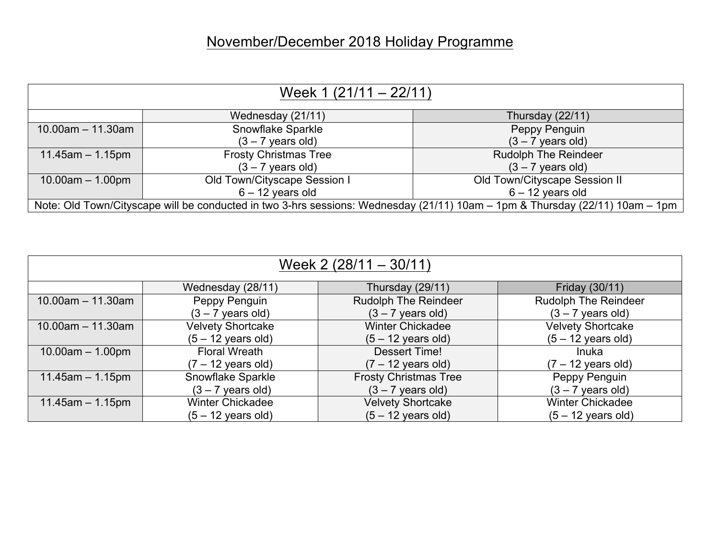## November/December 2018 Holiday Programme

| Week $1(21/11 - 22/11)$                                                                                                      |                              |                               |  |
|------------------------------------------------------------------------------------------------------------------------------|------------------------------|-------------------------------|--|
|                                                                                                                              | Wednesday (21/11)            | Thursday (22/11)              |  |
| $10.00$ am $-11.30$ am                                                                                                       | Snowflake Sparkle            | Peppy Penguin                 |  |
|                                                                                                                              | $(3 - 7$ years old)          | $(3 - 7$ years old)           |  |
| $11.45$ am $-1.15$ pm                                                                                                        | <b>Frosty Christmas Tree</b> | <b>Rudolph The Reindeer</b>   |  |
|                                                                                                                              | $(3 - 7$ years old)          | $(3 - 7$ years old)           |  |
| $10.00am - 1.00pm$                                                                                                           | Old Town/Cityscape Session I | Old Town/Cityscape Session II |  |
|                                                                                                                              | $6 - 12$ years old           | $6 - 12$ years old            |  |
| Note: Old Town/Cityscape will be conducted in two 3-hrs sessions: Wednesday (21/11) 10am - 1pm & Thursday (22/11) 10am - 1pm |                              |                               |  |

| Week $2(28/11 - 30/11)$ |                              |                              |                              |  |
|-------------------------|------------------------------|------------------------------|------------------------------|--|
|                         | Wednesday (28/11)            | Thursday (29/11)             | Friday (30/11)               |  |
| $10.00$ am $- 11.30$ am | Peppy Penguin                | <b>Rudolph The Reindeer</b>  | <b>Rudolph The Reindeer</b>  |  |
|                         | $(3 - 7$ years old)          | $(3 - 7$ years old)          | $(3 - 7$ years old)          |  |
| $10.00$ am $- 11.30$ am | <b>Velvety Shortcake</b>     | <b>Winter Chickadee</b>      | <b>Velvety Shortcake</b>     |  |
|                         | $(5 - 12 \text{ years old})$ | $(5 - 12$ years old)         | $(5 - 12$ years old)         |  |
| $10.00am - 1.00pm$      | <b>Floral Wreath</b>         | Dessert Time!                | Inuka                        |  |
|                         | $(7 - 12 \text{ years old})$ | $(7 - 12 \text{ years old})$ | $(7 - 12 \text{ years old})$ |  |
| $11.45$ am $- 1.15$ pm  | Snowflake Sparkle            | <b>Frosty Christmas Tree</b> | Peppy Penguin                |  |
|                         | $(3 - 7$ years old)          | $(3 - 7$ years old)          | $(3 - 7$ years old)          |  |
| $11.45$ am $- 1.15$ pm  | <b>Winter Chickadee</b>      | <b>Velvety Shortcake</b>     | <b>Winter Chickadee</b>      |  |
|                         | $(5 - 12 \text{ years old})$ | $(5 - 12 \text{ years old})$ | $(5 - 12 \text{ years old})$ |  |